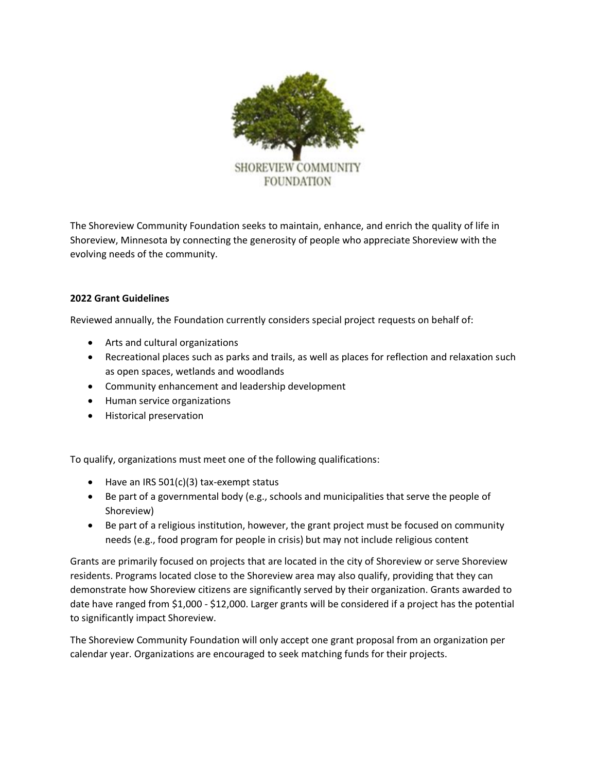

The Shoreview Community Foundation seeks to maintain, enhance, and enrich the quality of life in Shoreview, Minnesota by connecting the generosity of people who appreciate Shoreview with the evolving needs of the community.

## **2022 Grant Guidelines**

Reviewed annually, the Foundation currently considers special project requests on behalf of:

- Arts and cultural organizations
- Recreational places such as parks and trails, as well as places for reflection and relaxation such as open spaces, wetlands and woodlands
- Community enhancement and leadership development
- Human service organizations
- Historical preservation

To qualify, organizations must meet one of the following qualifications:

- Have an IRS 501(c)(3) tax-exempt status
- Be part of a governmental body (e.g., schools and municipalities that serve the people of Shoreview)
- Be part of a religious institution, however, the grant project must be focused on community needs (e.g., food program for people in crisis) but may not include religious content

Grants are primarily focused on projects that are located in the city of Shoreview or serve Shoreview residents. Programs located close to the Shoreview area may also qualify, providing that they can demonstrate how Shoreview citizens are significantly served by their organization. Grants awarded to date have ranged from \$1,000 - \$12,000. Larger grants will be considered if a project has the potential to significantly impact Shoreview.

The Shoreview Community Foundation will only accept one grant proposal from an organization per calendar year. Organizations are encouraged to seek matching funds for their projects.